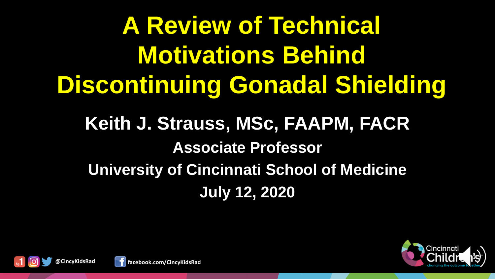**A Review of Technical Motivations Behind Discontinuing Gonadal Shielding**

# **Keith J. Strauss, MSc, FAAPM, FACR Associate Professor University of Cincinnati School of Medicine July 12, 2020**





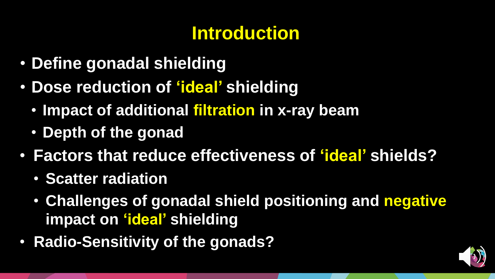# **Introduction**

- **Define gonadal shielding**
- **Dose reduction of 'ideal' shielding**
	- **Impact of additional filtration in x-ray beam**
	- **Depth of the gonad**
- **Factors that reduce effectiveness of 'ideal' shields?**
	- **Scatter radiation**
	- **Challenges of gonadal shield positioning and negative impact on 'ideal' shielding**
- **Radio-Sensitivity of the gonads?**

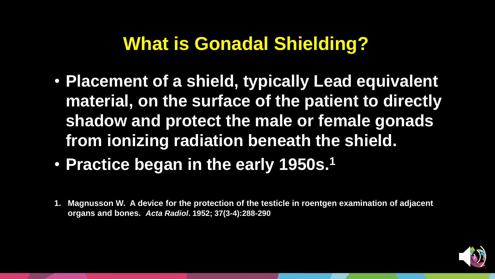## **What is Gonadal Shielding?**

- **Placement of a shield, typically Lead equivalent material, on the surface of the patient to directly shadow and protect the male or female gonads from ionizing radiation beneath the shield.**
- **Practice began in the early 1950s.<sup>1</sup>**
- **1. Magnusson W. A device for the protection of the testicle in roentgen examination of adjacent organs and bones.** *Acta Radiol***. 1952; 37(3-4):288-290**

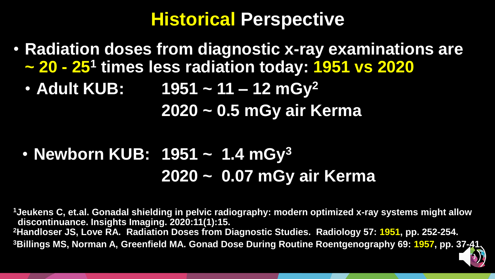#### **Historical Perspective**

- **Radiation doses from diagnostic x-ray examinations are ~ 20 - 25<sup>1</sup> times less radiation today: 1951 vs 2020**
	- **Adult KUB: 1951 ~ 11 – 12 mGy<sup>2</sup> 2020 ~ 0.5 mGy air Kerma**

## • **Newborn KUB: 1951 ~ 1.4 mGy<sup>3</sup> 2020 ~ 0.07 mGy air Kerma**

**Jeukens C, et.al. Gonadal shielding in pelvic radiography: modern optimized x-ray systems might allow discontinuance. Insights Imaging. 2020:11(1):15. Handloser JS, Love RA. Radiation Doses from Diagnostic Studies. Radiology 57: 1951, pp. 252-254. Billings MS, Norman A, Greenfield MA. Gonad Dose During Routine Roentgenography 69: 1957, pp. 37-41.**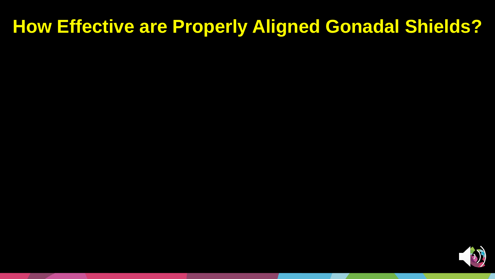## **How Effective are Properly Aligned Gonadal Shields?**

D)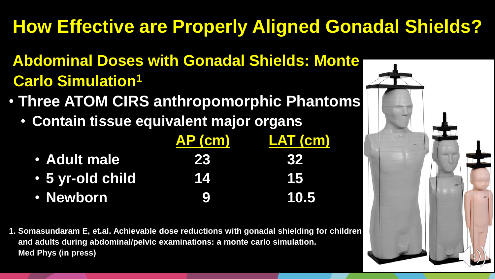# **How Effective are Properly Aligned Gonadal Shields?**

- **Abdominal Doses with Gonadal Shields: Monte Carlo Simulation<sup>1</sup>**
- **Three ATOM CIRS anthropomorphic Phantoms**
	- **Contain tissue equivalent major organs**

|                  | AP (cm) | LAT (cm)  |
|------------------|---------|-----------|
| • Adult male     | 23      | <b>KY</b> |
| • 5 yr-old child | 14      | И5        |
| • Newborn        | Ŀ       | 10.5      |

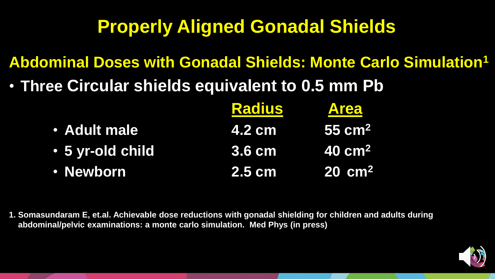**Abdominal Doses with Gonadal Shields: Monte Carlo Simulation<sup>1</sup>**

• **Three Circular shields equivalent to 0.5 mm Pb**

|                  | <b>Radius</b> | <b>Area</b>            |
|------------------|---------------|------------------------|
| · Adult male     | <b>4.2 cm</b> | $155 \text{ cm}^2$     |
| • 5 yr-old child | <b>3.6 cm</b> | $\sim 40 \text{ cm}^2$ |
| · Newborn        | <b>2.5 cm</b> | $20 \, \text{cm}^2$    |

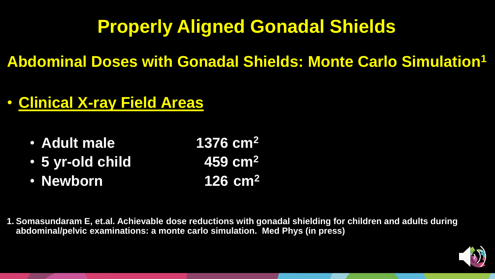**Abdominal Doses with Gonadal Shields: Monte Carlo Simulation<sup>1</sup>**

#### • **Clinical X-ray Field Areas**

- **Adult male 1376 cm<sup>2</sup>**
- **5 yr-old child 459 cm<sup>2</sup>**
- **Newborn 126 cm<sup>2</sup>**
- 

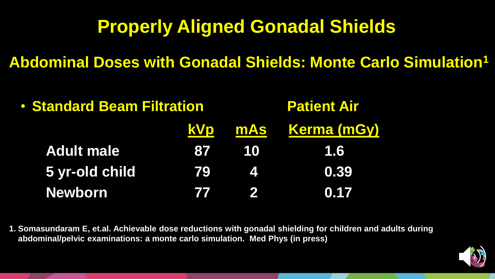**Abdominal Doses with Gonadal Shields: Monte Carlo Simulation<sup>1</sup>**

| <b>• Standard Beam Filtration</b> |            | <b>Patient Air</b>     |                     |  |
|-----------------------------------|------------|------------------------|---------------------|--|
|                                   |            |                        | KVp mAs Kerma (mGy) |  |
| <b>Adult male</b>                 |            | 87 10                  | <b>1.6</b>          |  |
| 5 yr-old child                    | 79         | $\boldsymbol{\Lambda}$ | 0.39                |  |
| <b>Newborn</b>                    | <b>VIA</b> | $\mathbf{2}$           | 0.17                |  |

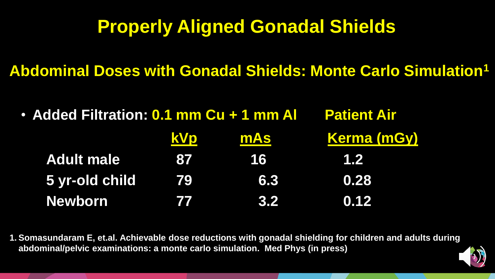**Abdominal Doses with Gonadal Shields: Monte Carlo Simulation<sup>1</sup>**

• **Added Filtration: 0.1 mm Cu + 1 mm Al Patient Air** 

|                   | <b>kVp</b>  | <b>mAs</b> | <b>Kerma (mGy)</b> |
|-------------------|-------------|------------|--------------------|
| <b>Adult male</b> | <b>1877</b> | 16         | 1.2                |
| 5 yr-old child    | 79          | 6.3        | 0.28               |
| <b>Newborn</b>    | 77          | kw         | 0.12               |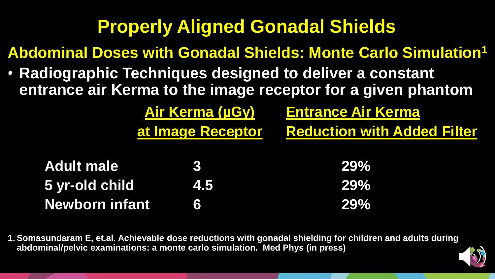**Abdominal Doses with Gonadal Shields: Monte Carlo Simulation<sup>1</sup>**

**Air Kerma (µGy) Entrance Air Kerma**

**at Image Receptor Reduction with Added Filter**

• **Radiographic Techniques designed to deliver a constant entrance air Kerma to the image receptor for a given phantom**

| <b>Adult male</b>     |     | <b>29%</b> |
|-----------------------|-----|------------|
| 5 yr-old child        | 4.5 | <b>29%</b> |
| <b>Newborn infant</b> | 151 | <b>29%</b> |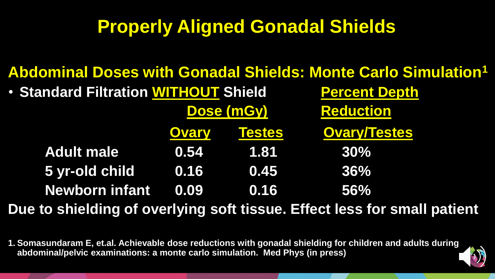|                                             |              |        | <b>Abdominal Doses with Gonadal Shields: Monte Carlo Simulation1</b>     |  |
|---------------------------------------------|--------------|--------|--------------------------------------------------------------------------|--|
| <b>• Standard Filtration WITHOUT Shield</b> |              |        | <b>Percent Depth</b>                                                     |  |
|                                             | Dose (mGy)   |        | <b>Reduction</b>                                                         |  |
|                                             | <b>Ovary</b> | Testes | <b>Ovary/Testes</b>                                                      |  |
| <b>Adult male</b>                           | 0.54         | 1.81   | 30%                                                                      |  |
| 5 yr-old child                              | 0.16         | 0.45   | 36%                                                                      |  |
| <b>Newborn infant</b>                       | 0.09         | 0.16   | 56%                                                                      |  |
|                                             |              |        | Due to shielding of overlying soft tissue. Effect less for small patient |  |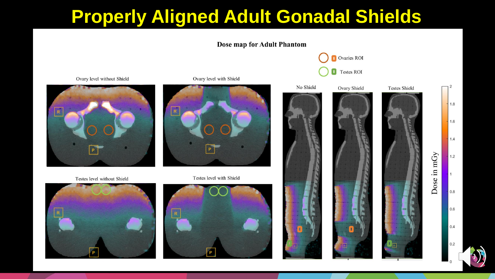



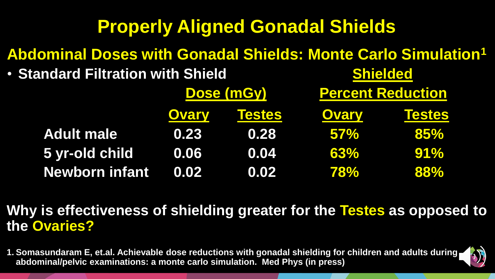#### **Abdominal Doses with Gonadal Shields: Monte Carlo Simulation<sup>1</sup>**

• **Standard Filtration with Shield Shielded Shielded Shielded** 

|                       | <b>Dose (mGy)</b> |               | <b>Percent Reduction</b> |               |
|-----------------------|-------------------|---------------|--------------------------|---------------|
|                       | <b>Ovary</b>      | <b>Testes</b> | <b>Ovary</b>             | <b>Testes</b> |
| <b>Adult male</b>     | 0.23              | 0.28          | $57\%$                   | 85%           |
| 5 yr-old child        | 0.06              | 0.04          | 63%                      | $91\%$        |
| <b>Newborn infant</b> | 0.02              | 0.02          | <b>78%</b>               | 88%           |

#### **Why is effectiveness of shielding greater for the Testes as opposed to the Ovaries?**

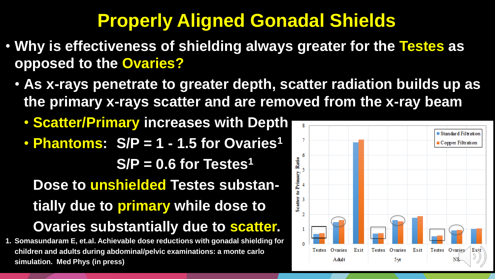- **Why is effectiveness of shielding always greater for the Testes as opposed to the Ovaries?**
	- **As x-rays penetrate to greater depth, scatter radiation builds up as the primary x-rays scatter and are removed from the x-ray beam**
		- **Scatter/Primary increases with Depth**
		- **Phantoms: S/P = 1 - 1.5 for Ovaries<sup>1</sup> S/P = 0.6 for Testes<sup>1</sup> Dose to unshielded Testes substantially due to primary while dose to Ovaries substantially due to scatter.**
- **1. Somasundaram E, et.al. Achievable dose reductions with gonadal shielding for children and adults during abdominal/pelvic examinations: a monte carlo simulation. Med Phys (in press)**

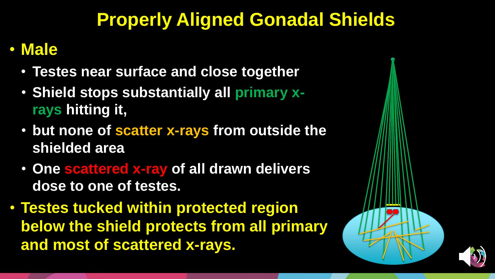#### • **Male**

- **Testes near surface and close together**
- **Shield stops substantially all primary xrays hitting it,**
- **but none of scatter x-rays from outside the shielded area**
- **One scattered x-ray of all drawn delivers dose to one of testes.**
- **Testes tucked within protected region below the shield protects from all primary and most of scattered x-rays.**

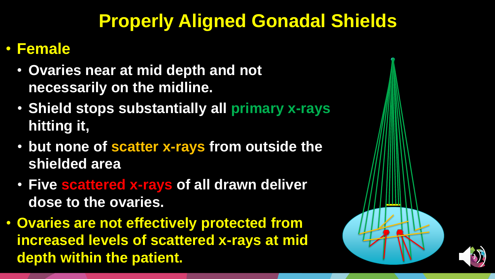#### • **Female**

- **Ovaries near at mid depth and not necessarily on the midline.**
- **Shield stops substantially all primary x-rays hitting it,**
- **but none of scatter x-rays from outside the shielded area**
- **Five scattered x-rays of all drawn deliver dose to the ovaries.**
- **Ovaries are not effectively protected from increased levels of scattered x-rays at mid depth within the patient.**

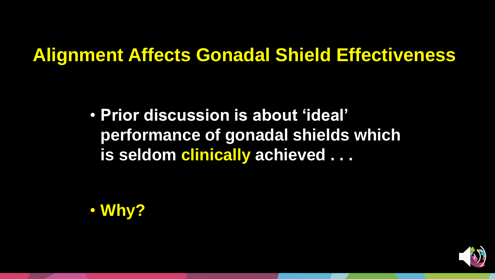• **Prior discussion is about 'ideal' performance of gonadal shields which is seldom clinically achieved . . .** 



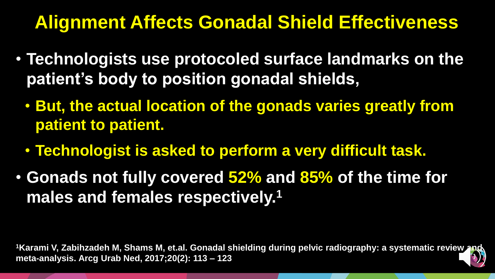- **Technologists use protocoled surface landmarks on the patient's body to position gonadal shields,**
	- **But, the actual location of the gonads varies greatly from patient to patient.**
	- **Technologist is asked to perform a very difficult task.**
- **Gonads not fully covered 52% and 85% of the time for males and females respectively.<sup>1</sup>**

<sup>1</sup>Karami V, Zabihzadeh M, Shams M, et.al. Gonadal shielding during pelvic radiography: a systematic review **meta-analysis. Arcg Urab Ned, 2017;20(2): 113 – 123**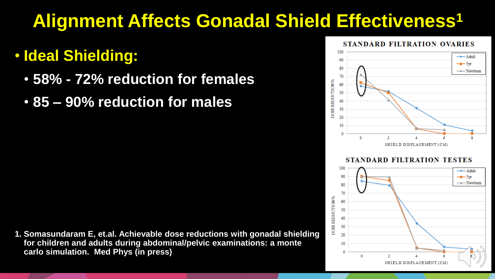#### • **Ideal Shielding:**

- **58% - 72% reduction for females**
- **85 – 90% reduction for males**

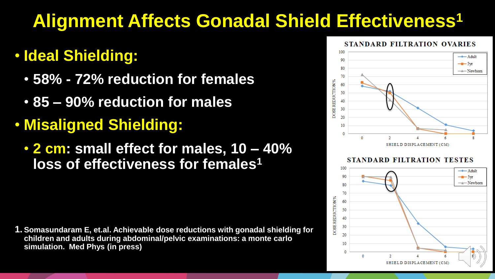#### • **Ideal Shielding:**

- **58% - 72% reduction for females**
- **85 – 90% reduction for males**
- **Misaligned Shielding:**
	- **2 cm: small effect for males, 10 – 40% loss of effectiveness for females<sup>1</sup>**

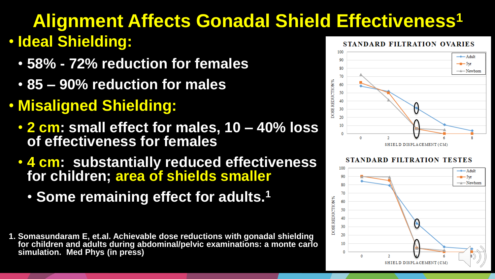## **Alignment Affects Gonadal Shield Effectiveness<sup>1</sup>** • **Ideal Shielding:**

- **58% - 72% reduction for females**
- **85 – 90% reduction for males**
- **Misaligned Shielding:**
	- **2 cm: small effect for males, 10 – 40% loss of effectiveness for females**
	- **4 cm: substantially reduced effectiveness for children; area of shields smaller**
		- **Some remaining effect for adults.<sup>1</sup>**
- **1. Somasundaram E, et.al. Achievable dose reductions with gonadal shielding for children and adults during abdominal/pelvic examinations: a monte carlo simulation. Med Phys (in press)**





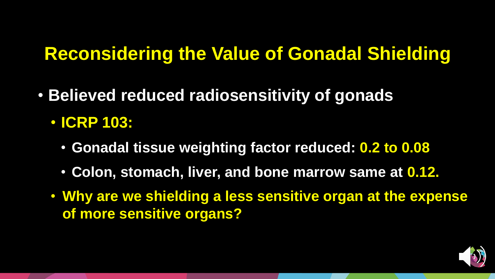## **Reconsidering the Value of Gonadal Shielding**

- **Believed reduced radiosensitivity of gonads**
	- **ICRP 103:**
		- **Gonadal tissue weighting factor reduced: 0.2 to 0.08**
		- **Colon, stomach, liver, and bone marrow same at 0.12.**
	- **Why are we shielding a less sensitive organ at the expense of more sensitive organs?**

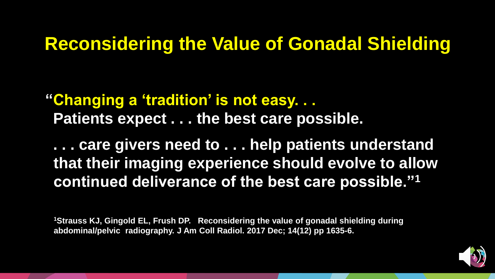#### **Reconsidering the Value of Gonadal Shielding**

**"Changing a 'tradition' is not easy. . . Patients expect . . . the best care possible.** 

**. . . care givers need to . . . help patients understand that their imaging experience should evolve to allow continued deliverance of the best care possible."<sup>1</sup>**

**<sup>1</sup>Strauss KJ, Gingold EL, Frush DP. Reconsidering the value of gonadal shielding during abdominal/pelvic radiography. J Am Coll Radiol. 2017 Dec; 14(12) pp 1635-6.**